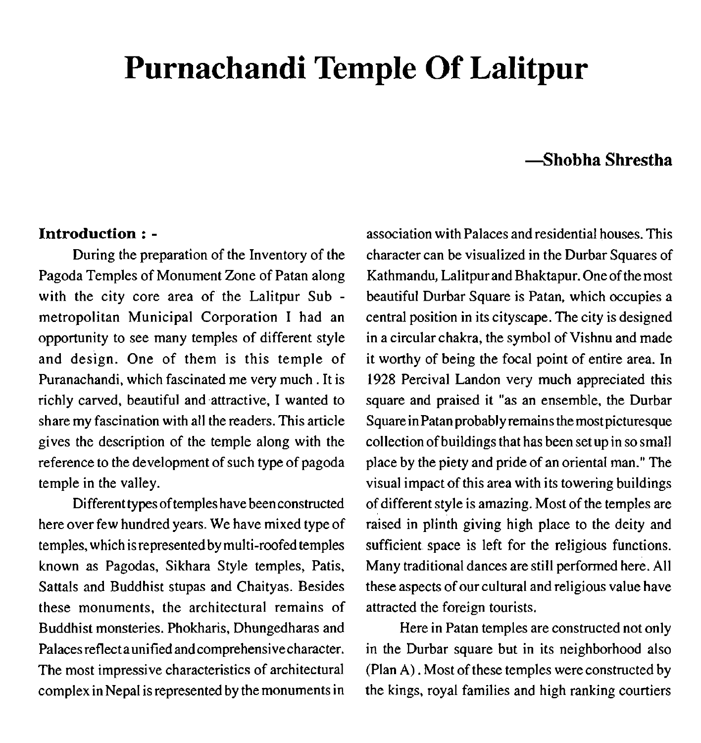# **Purnachandi Temple Of Lalitpur**

# **Chobha Shrestha**

#### **Introduction** : -

During the preparation of the Inventory of the Pagoda Temples of Monument Zone of Patan along with the city core area of the Lalitpur Sub metropolitan Municipal Corporation I had an opportunity to see many temples of different style and design. One of them is this temple of Puranachandi, which fascinated me very much . It is richly carved, beautiful and.attractive, I wanted to share my fascination with all the readers. This article gives the description of the temple along with the reference to the development of such type of pagoda temple in the valley.

Different types of temples have been constructed here over few hundred years. We have mixed type of temples, which is represented by multi-roofed temples known as Pagodas, Sikhara Style temples, Patis, Sattals and Buddhist stupas and Chaityas. Besides these monuments, the architectural remains of Buddhist monsteries. Phokharis, Dhungedharas and Palaces reflect aunified and comprehensive character. The most impressive characteristics of architectural complex in Nepal is represented by the monuments in

association with Palaces and residential houses. This character can be visualized in the Durbar Squares of Kathmandu, Lalitpur and Bhaktapur. One of the most beautiful Durbar Square is Patan, which occupies a central position in its cityscape. The city is designed in a circular chakra, the symbol of Vishnu and made it worthy of being the focal point of entire area. In 1928 Percival Landon very much appreciated this square and praised it "as an ensemble, the Durbar Square inPatanprobablyremains the most picturesque collection of buildings that has been set up in so small place by the piety and pride of an oriental man." The visual impact of this area with its towering buildings of different style is amazing. Most of the temples are raised in plinth giving high place to the deity and sufficient space is left for the religious functions. Many traditional dances are still performed here. All these aspects of our cultural and religious value have attracted the foreign tourists.

Here in Patan temples are constructed not only in the Durbar square but in its neighborhood also (Plan **A).** Most of these temples were constructed by the kings, royal families and high ranking courtiers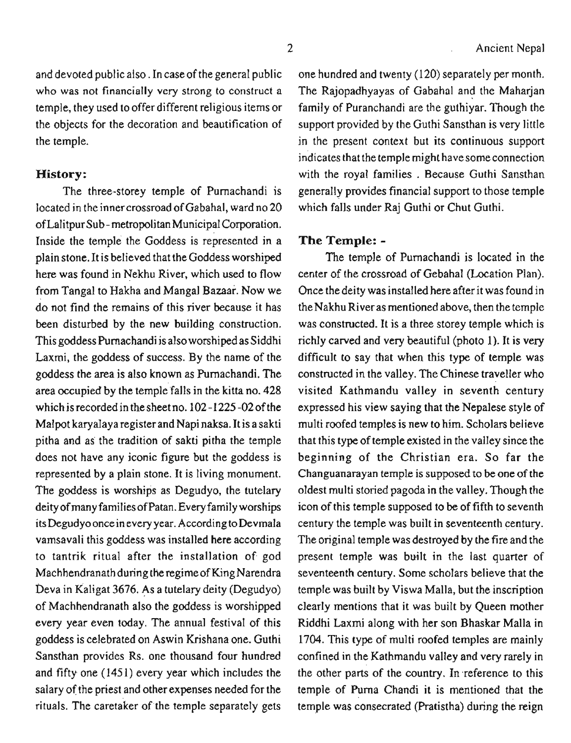and devoted public also. In case of the general public who was not financially very strong to construct a temple, they used to offer different religious items or the objects for the decoration and beautification of the temple.

#### **History:**

The three-storey temple of Purnachandi is located in the inner crossroad of Gabahal, ward no 20 of Lalitpur Sub - metropolitan Municipal Corporation. Inside the temple the Goddess is represented in a plain stone. It is believed that the Goddess worshiped here was found in Nekhu River, which used to flow from Tangal to Hakha and Mangal Bazaar. Now we do not find the remains of this river because it has been disturbed by the new building construction. This goddess Purnachandi is also worshiped as Siddhi Laxmi, the goddess of success. By the name of the goddess the area is also known as Purnachandi. The area occupied by the temple falls in the kitta no. 428 which is recorded in the sheet no. 102-1225-02 of the Malpot karyalaya register and Napi naksa. It is a sakti pitha and as the tradition of sakti pitha the temple does not have any iconic figure but the goddess is represented by a plain stone. It is living monument. The goddess is worships as Degudyo, the tutelary deity of many families of Patan. Every family worships its Degudyo once in every year. According to Devmala vamsavali this goddess was installed here according to tantrik ritual after the installation of god Machhendranathduring the regimeof King Narendra Deva in Kaligat 3676. As a tutelary deity (Degudyo) of Machhendranath also the goddess is worshipped every year even today. The annual festival of this goddess is celebrated on Aswin Krishana one. Guthi Sansthan provides Rs. one thousand four hundred and fifty one (1451) every year which includes the salary of the priest and other expenses needed for the rituals. The caretaker of the temple separately gets

one hundred and twenty (120) separately per month. The Rajopadhyayas of Gabahal and the Maharjan family of Puranchandi are the guthiyar. Though the support provided by the Guthi Sansthan is very little in the present context but its continuous support indicates that the temple might have some connection with the royal families . Because Guthi Sansthan generally provides financial support to those temple which falls under Raj Guthi or Chut Guthi.

## **The Temple:** -

The temple of Purnachandi is located in the center of the crossroad of Gebahal (Location Plan). Once the deity was installed here after it was found in the Nakhu River as mentioned above, then the temple was constructed. It is a three storey temple which is richly carved and very beautiful (photo 1). It is very difficult to say that when this type of temple was constructed in the valley. The Chinese traveller who visited Kathmandu valley in seventh century expressed his view saying that the Nepalese style of multi roofed temples is new to him. Scholars believe that this type of temple existed in the valley since the beginning of the Christian era. So far the Changuanarayan temple is supposed to be one of the oldest multi storied pagoda in the valley. Though the icon of this temple supposed to be of fifth to seventh century the temple was built in seventeenth century. The original temple was destroyed by the fire and the present temple was bwilt in the last quarter of seventeenth century. Some scholars believe that the temple was built by Viswa Malla, but the inscription clearly mentions that it was built by Queen mother Riddhi Laxmi along with her son Bhaskar Malla in 1704. This type of multi roofed temples are mainly confined in the Kathmandu valley and very rarely in the other parts of the country. In reference to this temple of Puma Chandi it is mentioned that the temple was consecrated (Pratistha) during the reign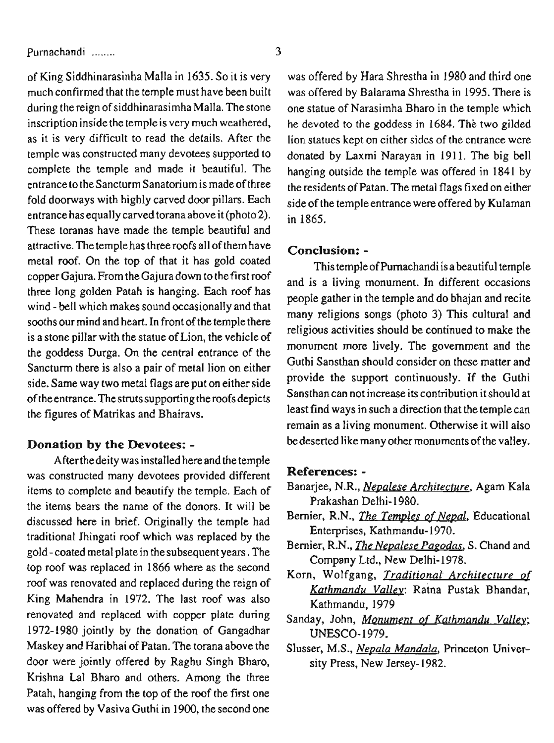of King Siddhinarasinha Malla in 1635. So it is very much confirmed that the temple must have been built during the reign of siddhinarasimha Malla. The stone inscription inside the temple is very much weathered, as it is very difficult to read the details. After the temple was constructed many devotees supported to complete the temple and made it beautiful. The entrance to the Sancturm Sanatorium is madeof three fold doorways with highly carved door pillars. Each entrance has equally carved torana above it (photo 2). These toranas have made the temple beautiful and attractive. The temple has three roofs all of them have metal roof. On the top of that it has gold coated copper Gajura. From the Gajura down to the first roof three long golden Patah is hanging. Each roof has wind - bell which makes sound occasionally and that sooths our mind and heart. In front of the temple there is a stone pillar with the statue of Lion, the vehicle of the goddess Durga. On the central entrance of the Sanctum there is also a pair of metal lion on either side. Same way two metal flags are put on either side of the entrance. The strutssupporting theroofsdepicts the figures of Matrikas and Bhairavs.

## **Donation by the Devotees:** -

After the deity was installed here and the temple was constructed many devotees provided different items to complete and beautify the temple. Each of the items bears the name of the donors. It will be discussed here in brief. Originally the temple had traditional Jhingati roof which was replaced by the gold - coated metal plate in the subsequent years. The top roof was replaced in 1866 where as the second roof was renovated and replaced during the reign of King Mahendra in 1972. The last roof was also renovated and replaced with copper plate during 1972-1980 jointly by the donation of Gangadhar Maskey and Haribhai of Patan. The torana above the door were jointly offered by Raghu Singh Bharo, Krishna La1 Bharo and others. Among the three Patah, hanging from the top of the roof the first one was offered by Vasiva Guthi in 1900, the second one

was offered by Hara Shrestha in 1980 and third one was offered by Balarama Shrestha in 1995. There is one statue of Narasimha Bharo in the temple which he devoted to the goddess in 1684. The two gilded lion statues kept on either sides of the entrance were donated by Laxmi Narayan in 1911. The big bell hanging outside the temple was offered in 1841 by the residents of Patan. The metal flags fixed on either side of the temple entrance were offered by Kulaman in 1865.

#### **Conclusion:** -

This temple of Purnachandi is abeautiful temple and is a living monument. In different occasions people gather in the temple and do bhajan and recite many religions songs (photo 3) This cultural and religious activities should be continued to make the monument more lively. The government and the Guthi Sansthan should consider on these matter and provide the support continuously. If the Guthi Sansthan can not increase its contribution it should at least find ways in such a direction that the temple can remain as a living monument. Otherwise it will also be deserted like many other monuments of the valley.

#### **References:** -

- Banarjee, N.R., *Nepalese Architecture,* Agam Kala Prakashan Delhi- 1980.
- Bernier, R.N., *The Temples of Nepal*, *Educational* Enterprises, Kathmandu- 1970.
- Bernier, R.N., *The Nepalese Pagodas*, S. Chand and Company Ltd., New Delhi-1978.
- Korn, Wolfgang, *Traditional Architecture of Kathmandu Va1le.y:* Ratna Pustak Bhandar, Kathmandu, 1979
- Sanday, John, *Monument of Kathmandu Valley;*  UNESCO- 1979.
- Slusser, M.S., *Nepala Mandala,* Princeton University Press, New Jersey-1982.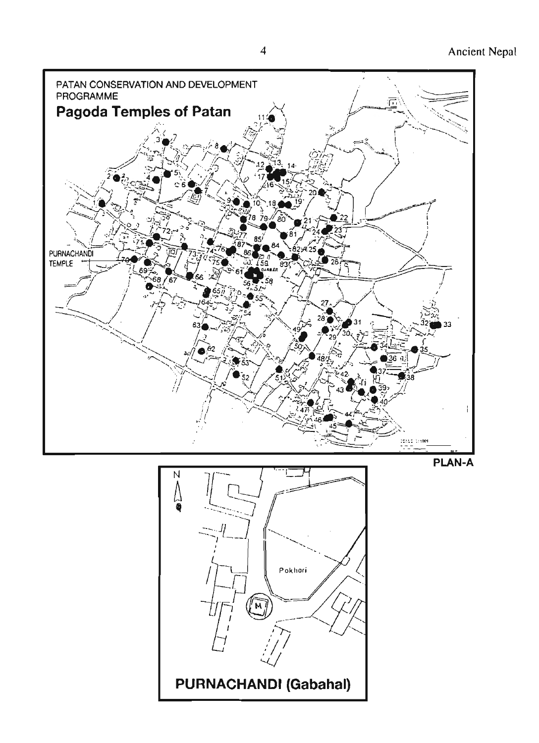

**PURNACHANDI (Gabahal)**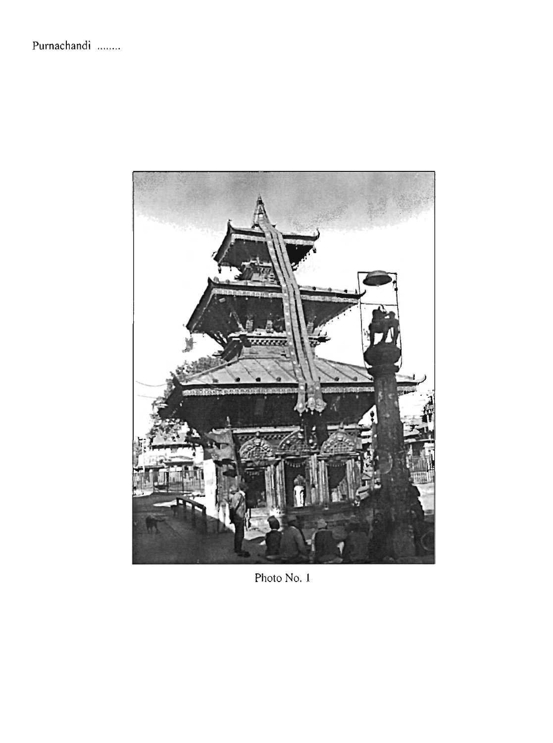

Photo No. I